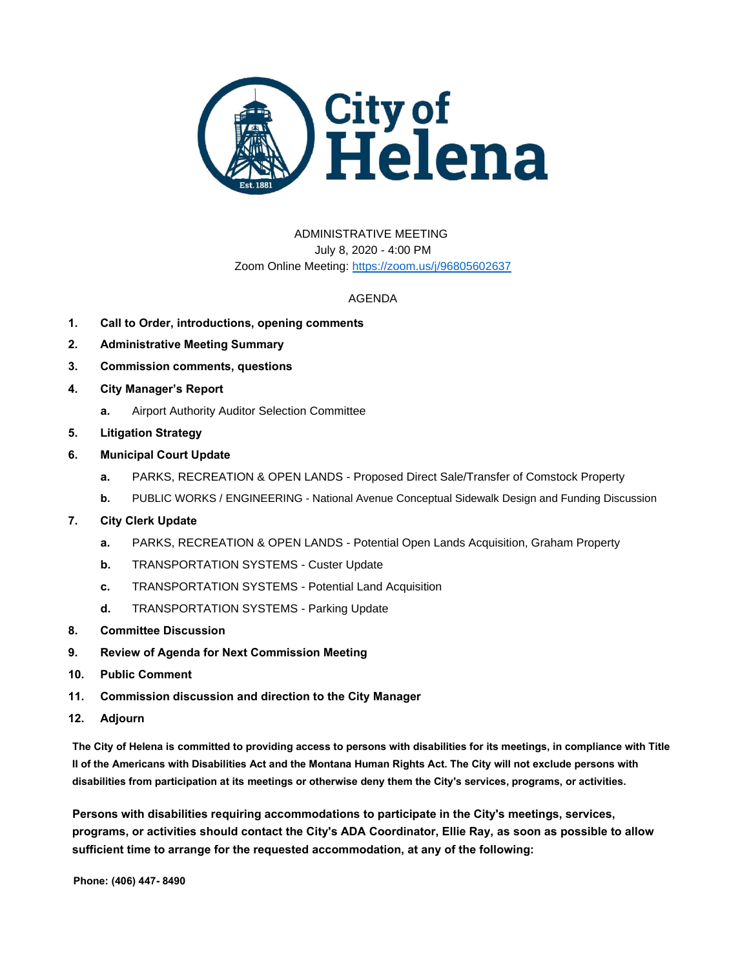

## ADMINISTRATIVE MEETING July 8, 2020 - 4:00 PM Zoom Online Meeting:<https://zoom.us/j/96805602637>

## AGENDA

- **1. Call to Order, introductions, opening comments**
- **2. Administrative Meeting Summary**
- **3. Commission comments, questions**
- **4. City Manager's Report**
	- **a.** Airport Authority Auditor Selection Committee
- **5. Litigation Strategy**
- **6. Municipal Court Update**
	- **a.** PARKS, RECREATION & OPEN LANDS Proposed Direct Sale/Transfer of Comstock Property
	- **b.** PUBLIC WORKS / ENGINEERING National Avenue Conceptual Sidewalk Design and Funding Discussion
- **7. City Clerk Update**
	- **a.** PARKS, RECREATION & OPEN LANDS Potential Open Lands Acquisition, Graham Property
	- **b.** TRANSPORTATION SYSTEMS Custer Update
	- **c.** TRANSPORTATION SYSTEMS Potential Land Acquisition
	- **d.** TRANSPORTATION SYSTEMS Parking Update
- **8. Committee Discussion**
- **9. Review of Agenda for Next Commission Meeting**
- **10. Public Comment**
- **11. Commission discussion and direction to the City Manager**
- **12. Adjourn**

**The City of Helena is committed to providing access to persons with disabilities for its meetings, in compliance with Title II of the Americans with Disabilities Act and the Montana Human Rights Act. The City will not exclude persons with disabilities from participation at its meetings or otherwise deny them the City's services, programs, or activities.**

**Persons with disabilities requiring accommodations to participate in the City's meetings, services, programs, or activities should contact the City's ADA Coordinator, Ellie Ray, as soon as possible to allow sufficient time to arrange for the requested accommodation, at any of the following:**

**Phone: (406) 447- 8490**